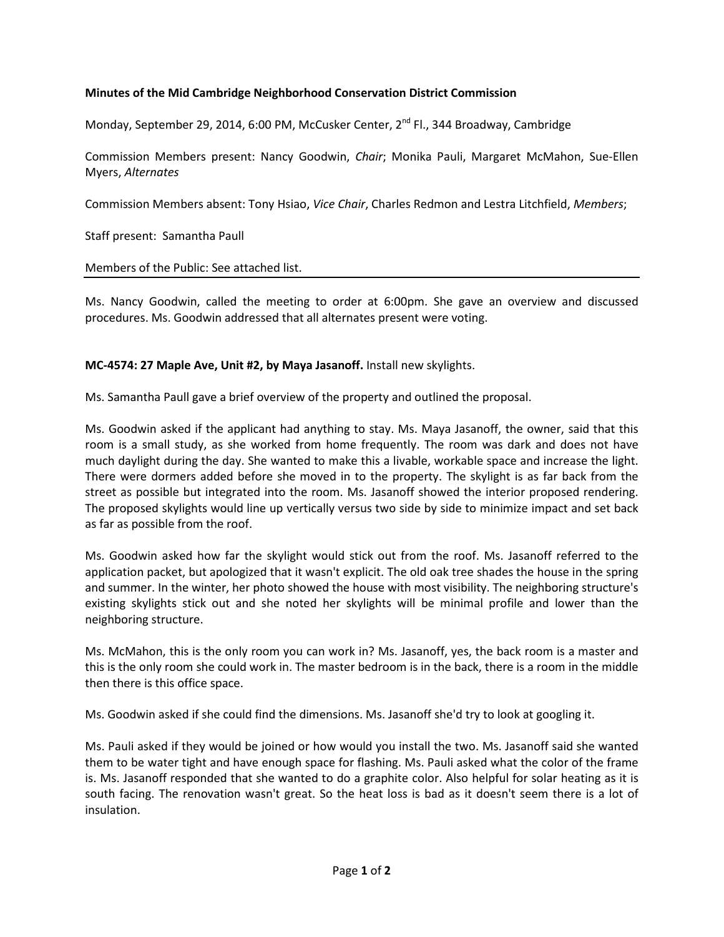## **Minutes of the Mid Cambridge Neighborhood Conservation District Commission**

Monday, September 29, 2014, 6:00 PM, McCusker Center, 2<sup>nd</sup> Fl., 344 Broadway, Cambridge

Commission Members present: Nancy Goodwin, *Chair*; Monika Pauli, Margaret McMahon, Sue-Ellen Myers, *Alternates*

Commission Members absent: Tony Hsiao, *Vice Chair*, Charles Redmon and Lestra Litchfield, *Members*;

Staff present: Samantha Paull

## Members of the Public: See attached list.

Ms. Nancy Goodwin, called the meeting to order at 6:00pm. She gave an overview and discussed procedures. Ms. Goodwin addressed that all alternates present were voting.

## **MC-4574: 27 Maple Ave, Unit #2, by Maya Jasanoff.** Install new skylights.

Ms. Samantha Paull gave a brief overview of the property and outlined the proposal.

Ms. Goodwin asked if the applicant had anything to stay. Ms. Maya Jasanoff, the owner, said that this room is a small study, as she worked from home frequently. The room was dark and does not have much daylight during the day. She wanted to make this a livable, workable space and increase the light. There were dormers added before she moved in to the property. The skylight is as far back from the street as possible but integrated into the room. Ms. Jasanoff showed the interior proposed rendering. The proposed skylights would line up vertically versus two side by side to minimize impact and set back as far as possible from the roof.

Ms. Goodwin asked how far the skylight would stick out from the roof. Ms. Jasanoff referred to the application packet, but apologized that it wasn't explicit. The old oak tree shades the house in the spring and summer. In the winter, her photo showed the house with most visibility. The neighboring structure's existing skylights stick out and she noted her skylights will be minimal profile and lower than the neighboring structure.

Ms. McMahon, this is the only room you can work in? Ms. Jasanoff, yes, the back room is a master and this is the only room she could work in. The master bedroom is in the back, there is a room in the middle then there is this office space.

Ms. Goodwin asked if she could find the dimensions. Ms. Jasanoff she'd try to look at googling it.

Ms. Pauli asked if they would be joined or how would you install the two. Ms. Jasanoff said she wanted them to be water tight and have enough space for flashing. Ms. Pauli asked what the color of the frame is. Ms. Jasanoff responded that she wanted to do a graphite color. Also helpful for solar heating as it is south facing. The renovation wasn't great. So the heat loss is bad as it doesn't seem there is a lot of insulation.